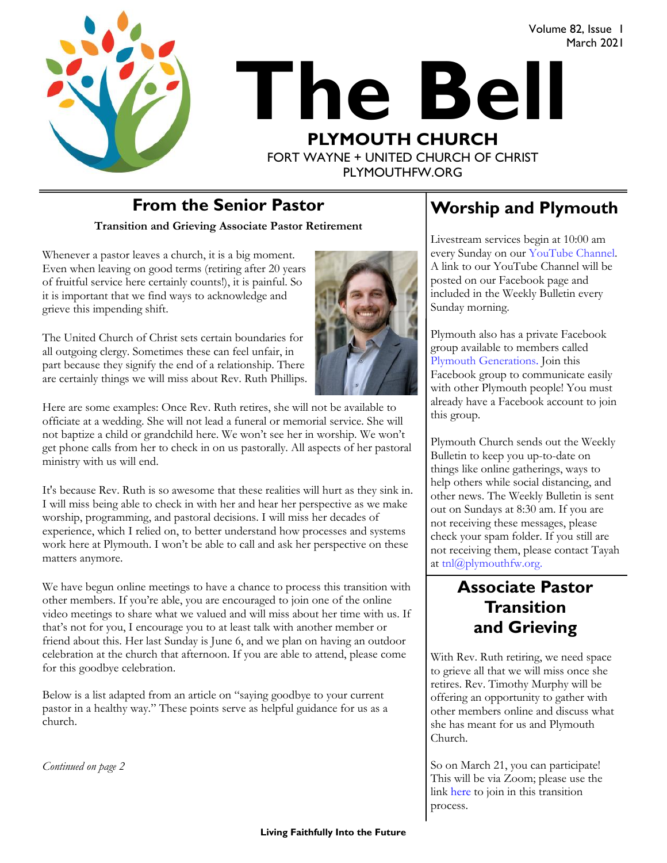



PLYMOUTHFW.ORG

# **From the Senior Pastor**  Worship and Plymouth

**Transition and Grieving Associate Pastor Retirement**

Whenever a pastor leaves a church, it is a big moment. Even when leaving on good terms (retiring after 20 years of fruitful service here certainly counts!), it is painful. So it is important that we find ways to acknowledge and grieve this impending shift.

The United Church of Christ sets certain boundaries for all outgoing clergy. Sometimes these can feel unfair, in part because they signify the end of a relationship. There are certainly things we will miss about Rev. Ruth Phillips.

Here are some examples: Once Rev. Ruth retires, she will not be available to officiate at a wedding. She will not lead a funeral or memorial service. She will not baptize a child or grandchild here. We won't see her in worship. We won't get phone calls from her to check in on us pastorally. All aspects of her pastoral ministry with us will end.

It's because Rev. Ruth is so awesome that these realities will hurt as they sink in. I will miss being able to check in with her and hear her perspective as we make worship, programming, and pastoral decisions. I will miss her decades of experience, which I relied on, to better understand how processes and systems work here at Plymouth. I won't be able to call and ask her perspective on these matters anymore.

We have begun online meetings to have a chance to process this transition with other members. If you're able, you are encouraged to join one of the online video meetings to share what we valued and will miss about her time with us. If that's not for you, I encourage you to at least talk with another member or friend about this. Her last Sunday is June 6, and we plan on having an outdoor celebration at the church that afternoon. If you are able to attend, please come for this goodbye celebration.

Below is a list adapted from an article on "saying goodbye to your current pastor in a healthy way." These points serve as helpful guidance for us as a church.

*Continued on page 2*

Volume 82, Issue 1

March 2021

Livestream services begin at 10:00 am every Sunday on our [YouTube Channel.](https://www.youtube.com/plymouthchurchfw)  A link to our YouTube Channel will be posted on our Facebook page and included in the Weekly Bulletin every Sunday morning.

Plymouth also has a private Facebook group available to members called [Plymouth Generations.](https://www.facebook.com/groups/1487066224952817/) Join this Facebook group to communicate easily with other Plymouth people! You must already have a Facebook account to join this group.

Plymouth Church sends out the Weekly Bulletin to keep you up-to-date on things like online gatherings, ways to help others while social distancing, and other news. The Weekly Bulletin is sent out on Sundays at 8:30 am. If you are not receiving these messages, please check your spam folder. If you still are not receiving them, please contact Tayah at  $\text{tnl}(\widehat{a}$  plymouthfw.org.

### **Associate Pastor Transition and Grieving**

With Rev. Ruth retiring, we need space to grieve all that we will miss once she retires. Rev. Timothy Murphy will be offering an opportunity to gather with other members online and discuss what she has meant for us and Plymouth Church.

So on March 21, you can participate! This will be via Zoom; please use the link [here](https://cst.zoom.us/j/99417601918#success) to join in this transition process.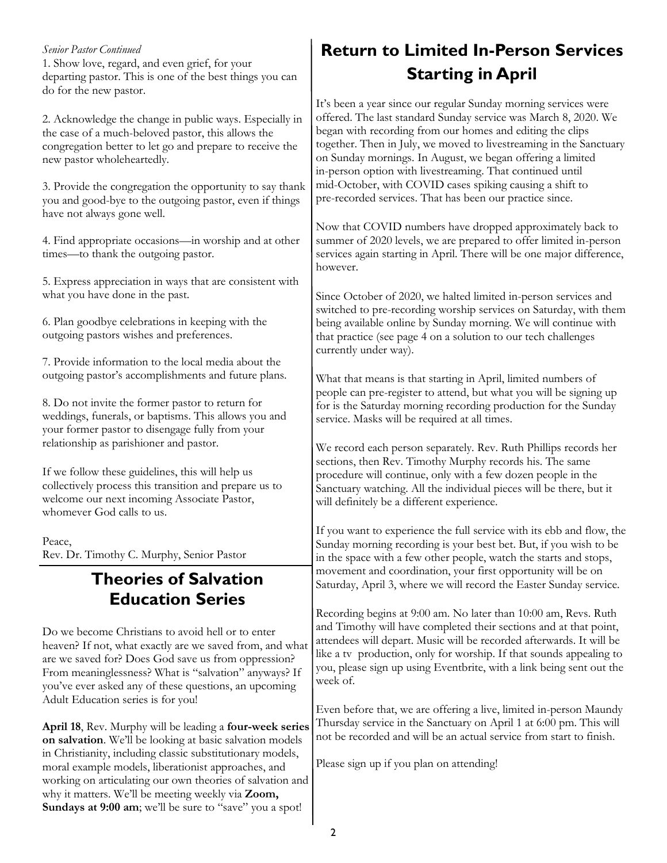### *Senior Pastor Continued*

1. Show love, regard, and even grief, for your departing pastor. This is one of the best things you can do for the new pastor.

2. Acknowledge the change in public ways. Especially in the case of a much-beloved pastor, this allows the congregation better to let go and prepare to receive the new pastor wholeheartedly.

3. Provide the congregation the opportunity to say thank you and good-bye to the outgoing pastor, even if things have not always gone well.

4. Find appropriate occasions—in worship and at other times—to thank the outgoing pastor.

5. Express appreciation in ways that are consistent with what you have done in the past.

6. Plan goodbye celebrations in keeping with the outgoing pastors wishes and preferences.

7. Provide information to the local media about the outgoing pastor's accomplishments and future plans.

8. Do not invite the former pastor to return for weddings, funerals, or baptisms. This allows you and your former pastor to disengage fully from your relationship as parishioner and pastor.

If we follow these guidelines, this will help us collectively process this transition and prepare us to welcome our next incoming Associate Pastor, whomever God calls to us.

Peace, Rev. Dr. Timothy C. Murphy, Senior Pastor

## **Theories of Salvation Education Series**

Do we become Christians to avoid hell or to enter heaven? If not, what exactly are we saved from, and what are we saved for? Does God save us from oppression? From meaninglessness? What is "salvation" anyways? If you've ever asked any of these questions, an upcoming Adult Education series is for you!

**April 18**, Rev. Murphy will be leading a **four-week series on salvation**. We'll be looking at basic salvation models in Christianity, including classic substitutionary models, moral example models, liberationist approaches, and working on articulating our own theories of salvation and why it matters. We'll be meeting weekly via **Zoom,**  Sundays at 9:00 am; we'll be sure to "save" you a spot!

# **Return to Limited In-Person Services Starting in April**

It's been a year since our regular Sunday morning services were offered. The last standard Sunday service was March 8, 2020. We began with recording from our homes and editing the clips together. Then in July, we moved to livestreaming in the Sanctuary on Sunday mornings. In August, we began offering a limited in-person option with livestreaming. That continued until mid-October, with COVID cases spiking causing a shift to pre-recorded services. That has been our practice since.

Now that COVID numbers have dropped approximately back to summer of 2020 levels, we are prepared to offer limited in-person services again starting in April. There will be one major difference, however.

Since October of 2020, we halted limited in-person services and switched to pre-recording worship services on Saturday, with them being available online by Sunday morning. We will continue with that practice (see page 4 on a solution to our tech challenges currently under way).

What that means is that starting in April, limited numbers of people can pre-register to attend, but what you will be signing up for is the Saturday morning recording production for the Sunday service. Masks will be required at all times.

We record each person separately. Rev. Ruth Phillips records her sections, then Rev. Timothy Murphy records his. The same procedure will continue, only with a few dozen people in the Sanctuary watching. All the individual pieces will be there, but it will definitely be a different experience.

If you want to experience the full service with its ebb and flow, the Sunday morning recording is your best bet. But, if you wish to be in the space with a few other people, watch the starts and stops, movement and coordination, your first opportunity will be on Saturday, April 3, where we will record the Easter Sunday service.

Recording begins at 9:00 am. No later than 10:00 am, Revs. Ruth and Timothy will have completed their sections and at that point, attendees will depart. Music will be recorded afterwards. It will be like a tv production, only for worship. If that sounds appealing to you, please sign up using Eventbrite, with a link being sent out the week of.

Even before that, we are offering a live, limited in-person Maundy Thursday service in the Sanctuary on April 1 at 6:00 pm. This will not be recorded and will be an actual service from start to finish.

Please sign up if you plan on attending!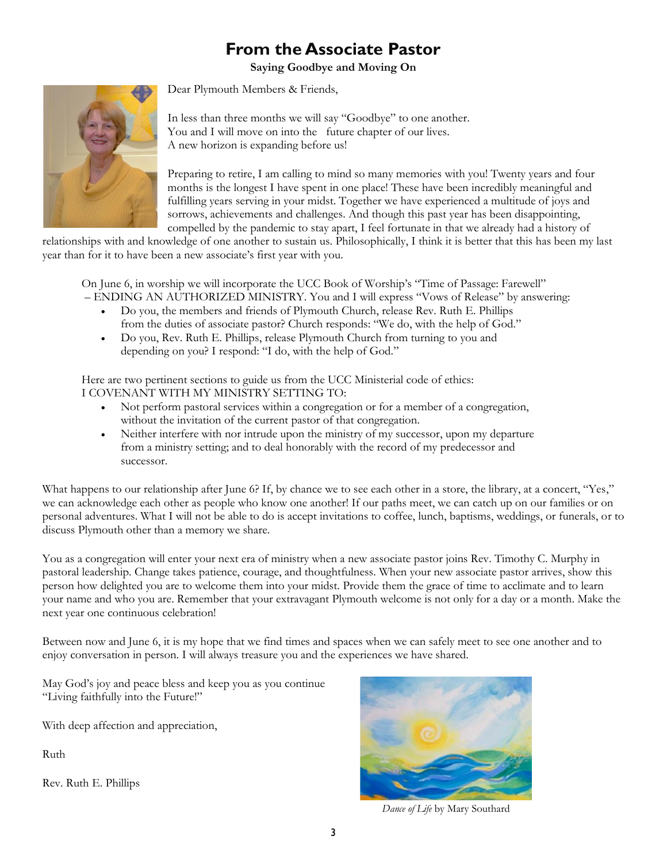# **From the Associate Pastor**

**Saying Goodbye and Moving On**

Dear Plymouth Members & Friends,



In less than three months we will say "Goodbye" to one another. You and I will move on into the future chapter of our lives. A new horizon is expanding before us!

Preparing to retire, I am calling to mind so many memories with you! Twenty years and four months is the longest I have spent in one place! These have been incredibly meaningful and fulfilling years serving in your midst. Together we have experienced a multitude of joys and sorrows, achievements and challenges. And though this past year has been disappointing, compelled by the pandemic to stay apart, I feel fortunate in that we already had a history of

relationships with and knowledge of one another to sustain us. Philosophically, I think it is better that this has been my last year than for it to have been a new associate's first year with you.

On June 6, in worship we will incorporate the UCC Book of Worship's "Time of Passage: Farewell" – ENDING AN AUTHORIZED MINISTRY. You and I will express "Vows of Release" by answering:

- Do you, the members and friends of Plymouth Church, release Rev. Ruth E. Phillips from the duties of associate pastor? Church responds: "We do, with the help of God."
- Do you, Rev. Ruth E. Phillips, release Plymouth Church from turning to you and depending on you? I respond: "I do, with the help of God."

Here are two pertinent sections to guide us from the UCC Ministerial code of ethics: I COVENANT WITH MY MINISTRY SETTING TO:

- Not perform pastoral services within a congregation or for a member of a congregation, without the invitation of the current pastor of that congregation.
- Neither interfere with nor intrude upon the ministry of my successor, upon my departure from a ministry setting; and to deal honorably with the record of my predecessor and successor.

What happens to our relationship after June 6? If, by chance we to see each other in a store, the library, at a concert, "Yes," we can acknowledge each other as people who know one another! If our paths meet, we can catch up on our families or on personal adventures. What I will not be able to do is accept invitations to coffee, lunch, baptisms, weddings, or funerals, or to discuss Plymouth other than a memory we share.

You as a congregation will enter your next era of ministry when a new associate pastor joins Rev. Timothy C. Murphy in pastoral leadership. Change takes patience, courage, and thoughtfulness. When your new associate pastor arrives, show this person how delighted you are to welcome them into your midst. Provide them the grace of time to acclimate and to learn your name and who you are. Remember that your extravagant Plymouth welcome is not only for a day or a month. Make the next year one continuous celebration!

Between now and June 6, it is my hope that we find times and spaces when we can safely meet to see one another and to enjoy conversation in person. I will always treasure you and the experiences we have shared.

May God's joy and peace bless and keep you as you continue "Living faithfully into the Future!"

With deep affection and appreciation,

Ruth

Rev. Ruth E. Phillips



*Dance of Life* by Mary Southard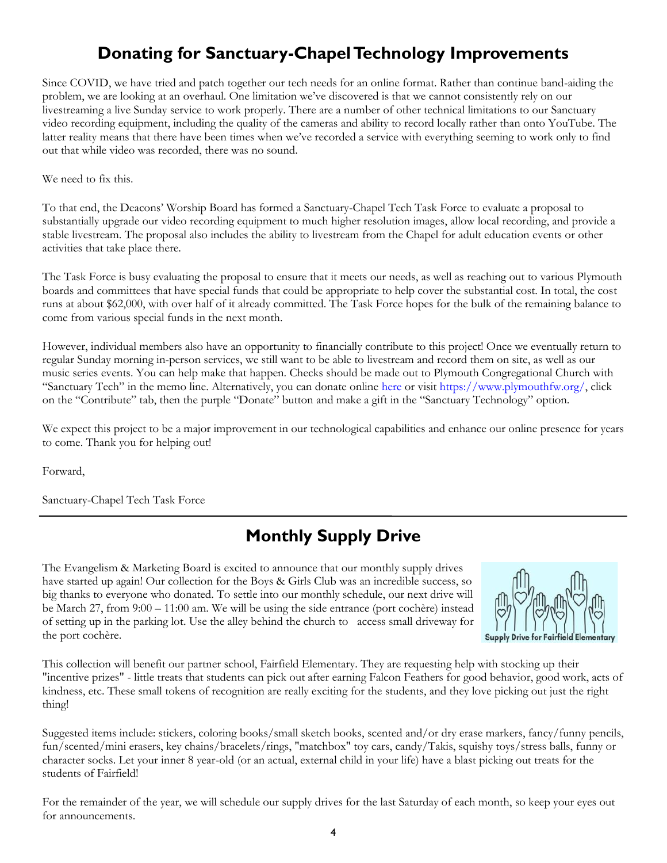# **Donating for Sanctuary-Chapel Technology Improvements**

Since COVID, we have tried and patch together our tech needs for an online format. Rather than continue band-aiding the problem, we are looking at an overhaul. One limitation we've discovered is that we cannot consistently rely on our livestreaming a live Sunday service to work properly. There are a number of other technical limitations to our Sanctuary video recording equipment, including the quality of the cameras and ability to record locally rather than onto YouTube. The latter reality means that there have been times when we've recorded a service with everything seeming to work only to find out that while video was recorded, there was no sound.

We need to fix this.

To that end, the Deacons' Worship Board has formed a Sanctuary-Chapel Tech Task Force to evaluate a proposal to substantially upgrade our video recording equipment to much higher resolution images, allow local recording, and provide a stable livestream. The proposal also includes the ability to livestream from the Chapel for adult education events or other activities that take place there.

The Task Force is busy evaluating the proposal to ensure that it meets our needs, as well as reaching out to various Plymouth boards and committees that have special funds that could be appropriate to help cover the substantial cost. In total, the cost runs at about \$62,000, with over half of it already committed. The Task Force hopes for the bulk of the remaining balance to come from various special funds in the next month.

However, individual members also have an opportunity to financially contribute to this project! Once we eventually return to regular Sunday morning in-person services, we still want to be able to livestream and record them on site, as well as our music series events. You can help make that happen. Checks should be made out to Plymouth Congregational Church with "Sanctuary Tech" in the memo line. Alternatively, you can donate online [here](https://www.eservicepayments.com/cgi-bin/Vanco_ver3.vps?appver3=wWsk24ZWJSTZKsGd1RMKlg0BDvsSG3VIWQCPJNNxD8upkiY7JlDavDsozUE7KG0nFx2NSo8LdUKGuGuF396vbVaiPstRo5nGq-DzvnYb662XHubq5Z7ap5JVmPErc4ZeYHCKCZhESjGNQmZ5B-6dx2HOd3DsUXzGmTYEh8VU7JU=&ver=3) or visit [https://www.plymouthfw.org/,](https://www.plymouthfw.org/) click on the "Contribute" tab, then the purple "Donate" button and make a gift in the "Sanctuary Technology" option.

We expect this project to be a major improvement in our technological capabilities and enhance our online presence for years to come. Thank you for helping out!

Forward,

Sanctuary-Chapel Tech Task Force

# **Monthly Supply Drive**

The Evangelism & Marketing Board is excited to announce that our monthly supply drives have started up again! Our collection for the Boys & Girls Club was an incredible success, so big thanks to everyone who donated. To settle into our monthly schedule, our next drive will be March 27, from 9:00 – 11:00 am. We will be using the side entrance (port cochère) instead of setting up in the parking lot. Use the alley behind the church to access small driveway for the port cochère.



This collection will benefit our partner school, Fairfield Elementary. They are requesting help with stocking up their "incentive prizes" - little treats that students can pick out after earning Falcon Feathers for good behavior, good work, acts of kindness, etc. These small tokens of recognition are really exciting for the students, and they love picking out just the right thing!

Suggested items include: stickers, coloring books/small sketch books, scented and/or dry erase markers, fancy/funny pencils, fun/scented/mini erasers, key chains/bracelets/rings, "matchbox" toy cars, candy/Takis, squishy toys/stress balls, funny or character socks. Let your inner 8 year-old (or an actual, external child in your life) have a blast picking out treats for the students of Fairfield!

For the remainder of the year, we will schedule our supply drives for the last Saturday of each month, so keep your eyes out for announcements.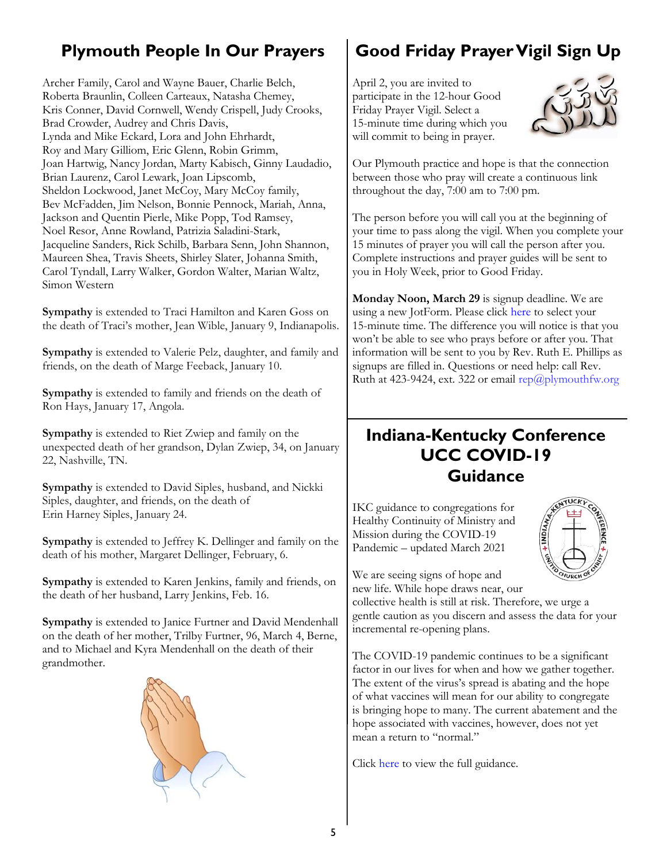# **Plymouth People In Our Prayers**

Archer Family, Carol and Wayne Bauer, Charlie Belch, Roberta Braunlin, Colleen Carteaux, Natasha Chemey, Kris Conner, David Cornwell, Wendy Crispell, Judy Crooks, Brad Crowder, Audrey and Chris Davis, Lynda and Mike Eckard, Lora and John Ehrhardt, Roy and Mary Gilliom, Eric Glenn, Robin Grimm, Joan Hartwig, Nancy Jordan, Marty Kabisch, Ginny Laudadio, Brian Laurenz, Carol Lewark, Joan Lipscomb, Sheldon Lockwood, Janet McCoy, Mary McCoy family, Bev McFadden, Jim Nelson, Bonnie Pennock, Mariah, Anna, Jackson and Quentin Pierle, Mike Popp, Tod Ramsey, Noel Resor, Anne Rowland, Patrizia Saladini-Stark, Jacqueline Sanders, Rick Schilb, Barbara Senn, John Shannon, Maureen Shea, Travis Sheets, Shirley Slater, Johanna Smith, Carol Tyndall, Larry Walker, Gordon Walter, Marian Waltz, Simon Western

**Sympathy** is extended to Traci Hamilton and Karen Goss on the death of Traci's mother, Jean Wible, January 9, Indianapolis.

**Sympathy** is extended to Valerie Pelz, daughter, and family and friends, on the death of Marge Feeback, January 10.

**Sympathy** is extended to family and friends on the death of Ron Hays, January 17, Angola.

**Sympathy** is extended to Riet Zwiep and family on the unexpected death of her grandson, Dylan Zwiep, 34, on January 22, Nashville, TN.

**Sympathy** is extended to David Siples, husband, and Nickki Siples, daughter, and friends, on the death of Erin Harney Siples, January 24.

**Sympathy** is extended to Jeffrey K. Dellinger and family on the death of his mother, Margaret Dellinger, February, 6.

**Sympathy** is extended to Karen Jenkins, family and friends, on the death of her husband, Larry Jenkins, Feb. 16.

**Sympathy** is extended to Janice Furtner and David Mendenhall on the death of her mother, Trilby Furtner, 96, March 4, Berne, and to Michael and Kyra Mendenhall on the death of their grandmother.



# **Good Friday Prayer Vigil Sign Up**

April 2, you are invited to participate in the 12-hour Good Friday Prayer Vigil. Select a 15-minute time during which you will commit to being in prayer.



Our Plymouth practice and hope is that the connection between those who pray will create a continuous link throughout the day, 7:00 am to 7:00 pm.

The person before you will call you at the beginning of your time to pass along the vigil. When you complete your 15 minutes of prayer you will call the person after you. Complete instructions and prayer guides will be sent to you in Holy Week, prior to Good Friday.

**Monday Noon, March 29** is signup deadline. We are using a new JotForm. Please click [here](https://www.jotform.com/build/210626536715152) to select your 15-minute time. The difference you will notice is that you won't be able to see who prays before or after you. That information will be sent to you by Rev. Ruth E. Phillips as signups are filled in. Questions or need help: call Rev. Ruth at 423-9424, ext. 322 or email  $rep@plymouthfw.org$ 

# **Indiana-Kentucky Conference UCC COVID-19 Guidance**

IKC guidance to congregations for Healthy Continuity of Ministry and Mission during the COVID-19 Pandemic – updated March 2021



We are seeing signs of hope and new life. While hope draws near, our collective health is still at risk. Therefore, we urge a gentle caution as you discern and assess the data for your incremental re-opening plans.

The COVID-19 pandemic continues to be a significant factor in our lives for when and how we gather together. The extent of the virus's spread is abating and the hope of what vaccines will mean for our ability to congregate is bringing hope to many. The current abatement and the hope associated with vaccines, however, does not yet mean a return to "normal."

Click [here](https://files.constantcontact.com/8206d75f001/dc9b3543-2fc4-47f8-bcb8-a00c92b1144c.pdf) to view the full guidance.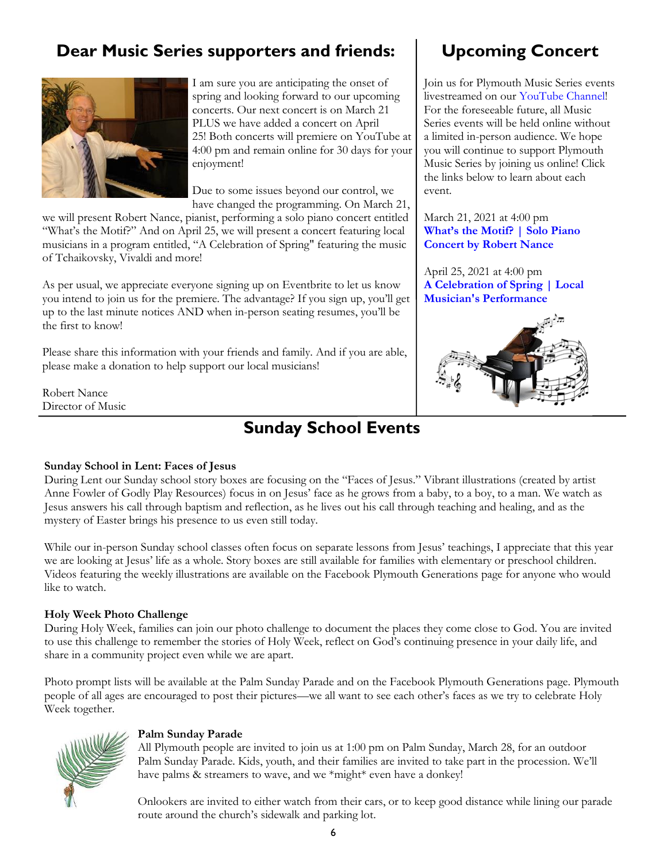# **Dear Music Series supporters and friends:**



I am sure you are anticipating the onset of spring and looking forward to our upcoming concerts. Our next concert is on March 21 PLUS we have added a concert on April 25! Both concerts will premiere on YouTube at 4:00 pm and remain online for 30 days for your enjoyment!

Due to some issues beyond our control, we have changed the programming. On March 21,

we will present Robert Nance, pianist, performing a solo piano concert entitled "What's the Motif?" And on April 25, we will present a concert featuring local musicians in a program entitled, "A Celebration of Spring" featuring the music of Tchaikovsky, Vivaldi and more!

As per usual, we appreciate everyone signing up on Eventbrite to let us know you intend to join us for the premiere. The advantage? If you sign up, you'll get up to the last minute notices AND when in-person seating resumes, you'll be the first to know!

Please share this information with your friends and family. And if you are able, please make a donation to help support our local musicians!

Robert Nance Director of Music

### **Sunday School Events**

# **Upcoming Concert**

Join us for Plymouth Music Series events livestreamed on our [YouTube Channel!](https://www.youtube.com/channel/UC9jMD1iWFiibqBYykkW6E2w)  For the foreseeable future, all Music Series events will be held online without a limited in-person audience. We hope you will continue to support Plymouth Music Series by joining us online! Click the links below to learn about each event.

March 21, 2021 at 4:00 pm **[What's the Motif? | Solo Piano](https://www.eventbrite.com/e/whats-the-motif-robert-nance-pianist-tickets-124277159329)  [Concert by Robert Nance](https://www.eventbrite.com/e/whats-the-motif-robert-nance-pianist-tickets-124277159329)**

April 25, 2021 at 4:00 pm **[A Celebration of Spring | Local](https://www.eventbrite.com/e/a-celebration-of-spring-music-for-string-orchestra-tickets-146123440143)  [Musician's Performance](https://www.eventbrite.com/e/a-celebration-of-spring-music-for-string-orchestra-tickets-146123440143)**



#### **Sunday School in Lent: Faces of Jesus**

During Lent our Sunday school story boxes are focusing on the "Faces of Jesus." Vibrant illustrations (created by artist Anne Fowler of Godly Play Resources) focus in on Jesus' face as he grows from a baby, to a boy, to a man. We watch as Jesus answers his call through baptism and reflection, as he lives out his call through teaching and healing, and as the mystery of Easter brings his presence to us even still today.

While our in-person Sunday school classes often focus on separate lessons from Jesus' teachings, I appreciate that this year we are looking at Jesus' life as a whole. Story boxes are still available for families with elementary or preschool children. Videos featuring the weekly illustrations are available on the Facebook Plymouth Generations page for anyone who would like to watch.

### **Holy Week Photo Challenge**

During Holy Week, families can join our photo challenge to document the places they come close to God. You are invited to use this challenge to remember the stories of Holy Week, reflect on God's continuing presence in your daily life, and share in a community project even while we are apart.

Photo prompt lists will be available at the Palm Sunday Parade and on the Facebook Plymouth Generations page. Plymouth people of all ages are encouraged to post their pictures—we all want to see each other's faces as we try to celebrate Holy Week together.



### **Palm Sunday Parade**

All Plymouth people are invited to join us at 1:00 pm on Palm Sunday, March 28, for an outdoor Palm Sunday Parade. Kids, youth, and their families are invited to take part in the procession. We'll have palms & streamers to wave, and we \*might\* even have a donkey!

Onlookers are invited to either watch from their cars, or to keep good distance while lining our parade route around the church's sidewalk and parking lot.